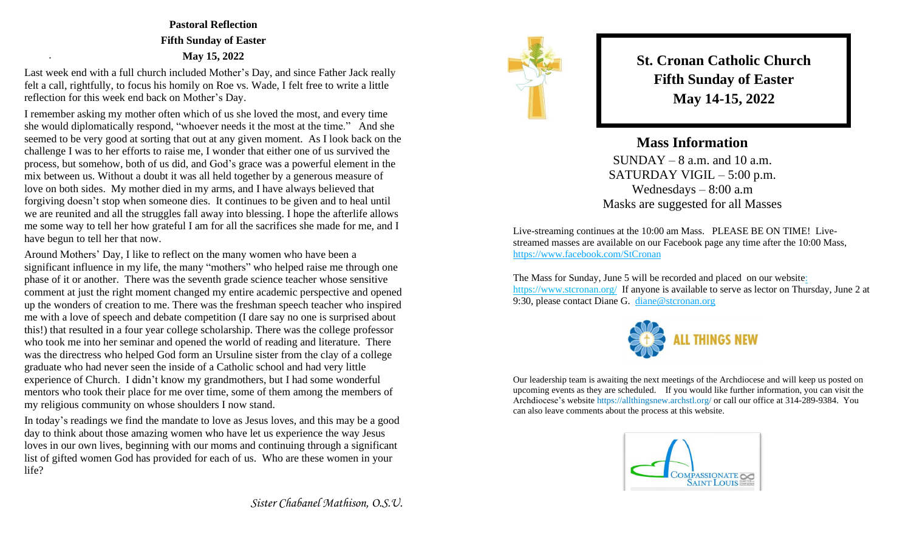**Pastoral Reflection Fifth Sunday of Easter May 15, 2022**

Last week end with a full church included Mother's Day, and since Father Jack really felt a call, rightfully, to focus his homily on Roe vs. Wade, I felt free to write a little reflection for this week end back on Mother's Day.

.

I remember asking my mother often which of us she loved the most, and every time she would diplomatically respond, "whoever needs it the most at the time." And she seemed to be very good at sorting that out at any given moment. As I look back on the challenge I was to her efforts to raise me, I wonder that either one of us survived the process, but somehow, both of us did, and God's grace was a powerful element in the mix between us. Without a doubt it was all held together by a generous measure of love on both sides. My mother died in my arms, and I have always believed that forgiving doesn't stop when someone dies. It continues to be given and to heal until we are reunited and all the struggles fall away into blessing. I hope the afterlife allows me some way to tell her how grateful I am for all the sacrifices she made for me, and I have begun to tell her that now.

Around Mothers' Day, I like to reflect on the many women who have been a significant influence in my life, the many "mothers" who helped raise me through one phase of it or another. There was the seventh grade science teacher whose sensitive comment at just the right moment changed my entire academic perspective and opened up the wonders of creation to me. There was the freshman speech teacher who inspired me with a love of speech and debate competition (I dare say no one is surprised about this!) that resulted in a four year college scholarship. There was the college professor who took me into her seminar and opened the world of reading and literature. There was the directress who helped God form an Ursuline sister from the clay of a college graduate who had never seen the inside of a Catholic school and had very little experience of Church. I didn't know my grandmothers, but I had some wonderful mentors who took their place for me over time, some of them among the members of my religious community on whose shoulders I now stand.

In today's readings we find the mandate to love as Jesus loves, and this may be a good day to think about those amazing women who have let us experience the way Jesus loves in our own lives, beginning with our moms and continuing through a significant list of gifted women God has provided for each of us. Who are these women in your life?

**St. Cronan Catholic Church Fifth Sunday of Easter May 14-15, 2022**

**Mass Information**  $SUNDAY - 8$  a.m. and 10 a.m. SATURDAY VIGIL – 5:00 p.m. Wednesdays – 8:00 a.m Masks are suggested for all Masses

Live-streaming continues at the 10:00 am Mass. PLEASE BE ON TIME! Livestreamed masses are available on our Facebook page any time after the 10:00 Mass, <https://www.facebook.com/StCronan>

The Mass for Sunday, June 5 will be recorded and placed on our websit[e:](https://d.docs.live.net/e2a01ffbd4eb3572/Documents/Monday%20Notes/:%20%20https:/www.stcronan.org/)  [https://www.stcronan.org/](https://d.docs.live.net/e2a01ffbd4eb3572/Documents/Monday%20Notes/:%20%20https:/www.stcronan.org/) If anyone is available to serve as lector on Thursday, June 2 at 9:30, please contact Diane G. [diane@stcronan.org](mailto:diane@stcronan.org)



Our leadership team is awaiting the next meetings of the Archdiocese and will keep us posted on upcoming events as they are scheduled. If you would like further information, you can visit the Archdiocese's website <https://allthingsnew.archstl.org/> or call our office at 314-289-9384. You can also leave comments about the process at this website.



*Sister Chabanel Mathison, O.S.U.*